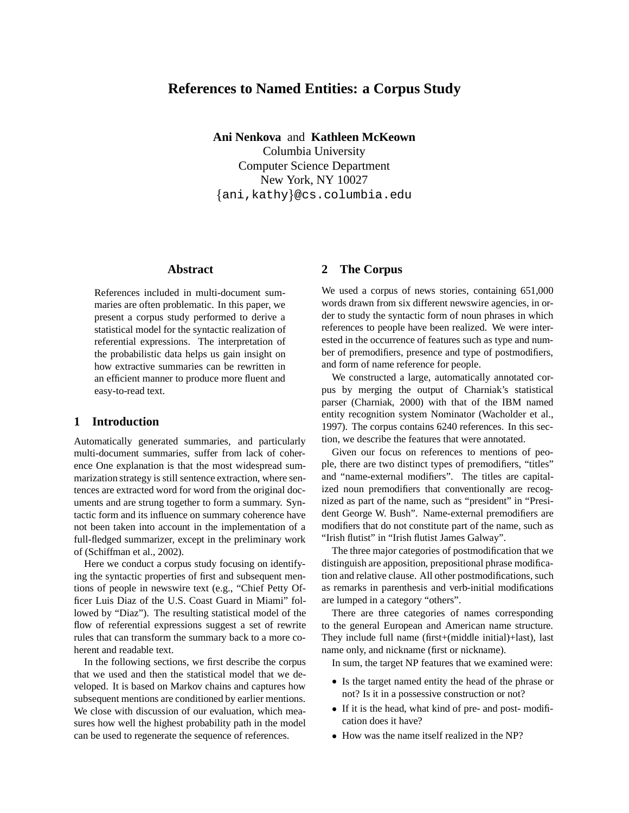# **References to Named Entities: a Corpus Study**

**Ani Nenkova** and **Kathleen McKeown**

Columbia University Computer Science Department New York, NY 10027  $\{\operatorname{\mathsf{ani}}$  ,kathy $\}$ @cs.columbia.edu

# **Abstract**

References included in multi-document summaries are often problematic. In this paper, we present a corpus study performed to derive a statistical model for the syntactic realization of referential expressions. The interpretation of the probabilistic data helps us gain insight on how extractive summaries can be rewritten in an efficient manner to produce more fluent and easy-to-read text.

### **1 Introduction**

Automatically generated summaries, and particularly multi-document summaries, suffer from lack of coherence One explanation is that the most widespread summarization strategy is still sentence extraction, where sentences are extracted word for word from the original documents and are strung together to form a summary. Syntactic form and its influence on summary coherence have not been taken into account in the implementation of a full-fledged summarizer, except in the preliminary work of (Schiffman et al., 2002).

Here we conduct a corpus study focusing on identifying the syntactic properties of first and subsequent mentions of people in newswire text (e.g., "Chief Petty Officer Luis Diaz of the U.S. Coast Guard in Miami" followed by "Diaz"). The resulting statistical model of the flow of referential expressions suggest a set of rewrite rules that can transform the summary back to a more coherent and readable text.

In the following sections, we first describe the corpus that we used and then the statistical model that we developed. It is based on Markov chains and captures how subsequent mentions are conditioned by earlier mentions. We close with discussion of our evaluation, which measures how well the highest probability path in the model can be used to regenerate the sequence of references.

#### **2 The Corpus**

We used a corpus of news stories, containing 651,000 words drawn from six different newswire agencies, in order to study the syntactic form of noun phrases in which references to people have been realized. We were interested in the occurrence of features such as type and number of premodifiers, presence and type of postmodifiers, and form of name reference for people.

We constructed a large, automatically annotated corpus by merging the output of Charniak's statistical parser (Charniak, 2000) with that of the IBM named entity recognition system Nominator (Wacholder et al., 1997). The corpus contains 6240 references. In this section, we describe the features that were annotated.

Given our focus on references to mentions of people, there are two distinct types of premodifiers, "titles" and "name-external modifiers". The titles are capitalized noun premodifiers that conventionally are recognized as part of the name, such as "president" in "President George W. Bush". Name-external premodifiers are modifiers that do not constitute part of the name, such as "Irish flutist" in "Irish flutist James Galway".

The three major categories of postmodification that we distinguish are apposition, prepositional phrase modification and relative clause. All other postmodifications, such as remarks in parenthesis and verb-initial modifications are lumped in a category "others".

There are three categories of names corresponding to the general European and American name structure. They include full name (first+(middle initial)+last), last name only, and nickname (first or nickname).

In sum, the target NP features that we examined were:

- Is the target named entity the head of the phrase or not? Is it in a possessive construction or not?
- If it is the head, what kind of pre- and post- modification does it have?
- How was the name itself realized in the NP?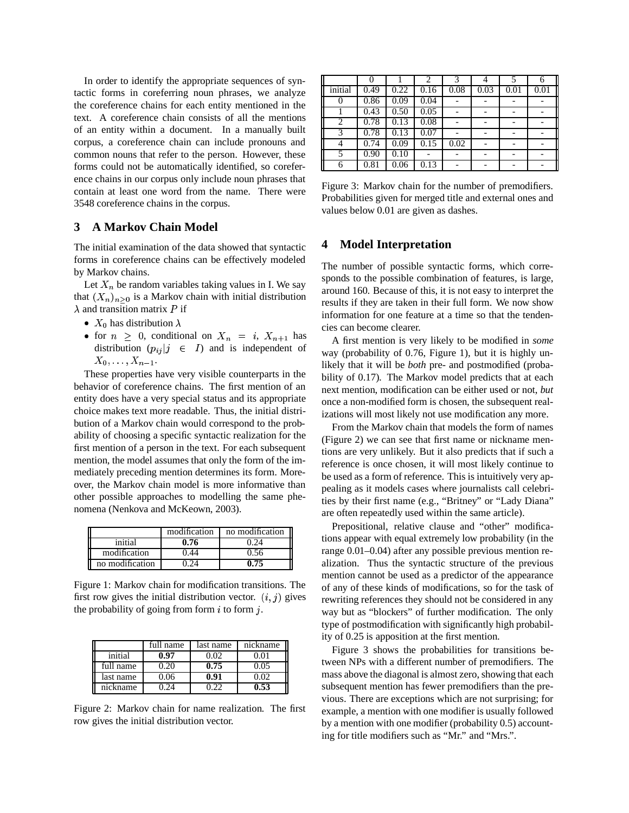In order to identify the appropriate sequences of syntactic forms in coreferring noun phrases, we analyze the coreference chains for each entity mentioned in the text. A coreference chain consists of all the mentions of an entity within a document. In a manually built corpus, a coreference chain can include pronouns and common nouns that refer to the person. However, these forms could not be automatically identified, so coreference chains in our corpus only include noun phrases that contain at least one word from the name. There were 3548 coreference chains in the corpus.

# **3 A Markov Chain Model**

The initial examination of the data showed that syntactic forms in coreference chains can be effectively modeled by Markov chains.

Let  $X_n$  be random variables taking values in I. We say that  $(X_n)_{n>0}$  is a Markov chain with initial distribution  $\lambda$  and transition matrix P if

- $X_0$  has distribution  $\lambda$
- for  $n \geq 0$ , conditional on  $X_n = i$ ,  $X_{n+1}$  has distribution  $(p_{ij}|j \in I)$  and is independent of  $X_0,\ldots,X_{n-1}.$

These properties have very visible counterparts in the behavior of coreference chains. The first mention of an entity does have a very special status and its appropriate choice makes text more readable. Thus, the initial distribution of a Markov chain would correspond to the probability of choosing a specific syntactic realization for the first mention of a person in the text. For each subsequent mention, the model assumes that only the form of the immediately preceding mention determines its form. Moreover, the Markov chain model is more informative than other possible approaches to modelling the same phenomena (Nenkova and McKeown, 2003).

|                 | modification | no modification |
|-----------------|--------------|-----------------|
| initial         | 0.76         | ነ 24            |
| modification    | 0.44         | 0.56            |
| no modification |              | A 75            |

Figure 1: Markov chain for modification transitions. The first row gives the initial distribution vector.  $(i, j)$  gives the probability of going from form  $i$  to form  $j$ .

|           | full name | last name | nickname |  |
|-----------|-----------|-----------|----------|--|
| initial   | 0.97      | 0 O2      | 0.01     |  |
| full name | 0.20      | 0.75      | $0.05 -$ |  |
| last name | 0.06      | 0.91      | 0 O2     |  |
| nickname  | 124       | ነ ንን      | 0.53     |  |

Figure 2: Markov chain for name realization. The first row gives the initial distribution vector.

|                |      |      |      | 3    |      |      | 6    |
|----------------|------|------|------|------|------|------|------|
| initial        | 0.49 | 0.22 | 0.16 | 0.08 | 0.03 | 0.01 | 0.01 |
|                | 0.86 | 0.09 | 0.04 |      |      |      |      |
|                | 0.43 | 0.50 | 0.05 |      |      |      |      |
| $\overline{c}$ | 0.78 | 0.13 | 0.08 |      |      |      |      |
| 3              | 0.78 | 0.13 | 0.07 |      |      |      |      |
|                | 0.74 | 0.09 | 0.15 | 0.02 |      |      |      |
|                | 0.90 | 0.10 |      |      |      |      |      |
| 6              | 0.81 | 0.06 | 0.13 |      |      |      |      |

Figure 3: Markov chain for the number of premodifiers. Probabilities given for merged title and external ones and values below 0.01 are given as dashes.

# **4 Model Interpretation**

The number of possible syntactic forms, which corresponds to the possible combination of features, is large, around 160. Because of this, it is not easy to interpret the results if they are taken in their full form. We now show information for one feature at a time so that the tendencies can become clearer.

A first mention is very likely to be modified in *some* way (probability of 0.76, Figure 1), but it is highly unlikely that it will be *both* pre- and postmodified (probability of 0.17). The Markov model predicts that at each next mention, modification can be either used or not, *but* once a non-modified form is chosen, the subsequent realizations will most likely not use modification any more.

From the Markov chain that models the form of names (Figure 2) we can see that first name or nickname mentions are very unlikely. But it also predicts that if such a reference is once chosen, it will most likely continue to be used as a form of reference. This is intuitively very appealing as it models cases where journalists call celebrities by their first name (e.g., "Britney" or "Lady Diana" are often repeatedly used within the same article).

Prepositional, relative clause and "other" modifications appear with equal extremely low probability (in the range 0.01–0.04) after any possible previous mention realization. Thus the syntactic structure of the previous mention cannot be used as a predictor of the appearance of any of these kinds of modifications, so for the task of rewriting references they should not be considered in any way but as "blockers" of further modification. The only type of postmodification with significantly high probability of 0.25 is apposition at the first mention.

Figure 3 shows the probabilities for transitions between NPs with a different number of premodifiers. The mass above the diagonal is almost zero, showing that each subsequent mention has fewer premodifiers than the previous. There are exceptions which are not surprising; for example, a mention with one modifier is usually followed by a mention with one modifier (probability 0.5) accounting for title modifiers such as "Mr." and "Mrs.".